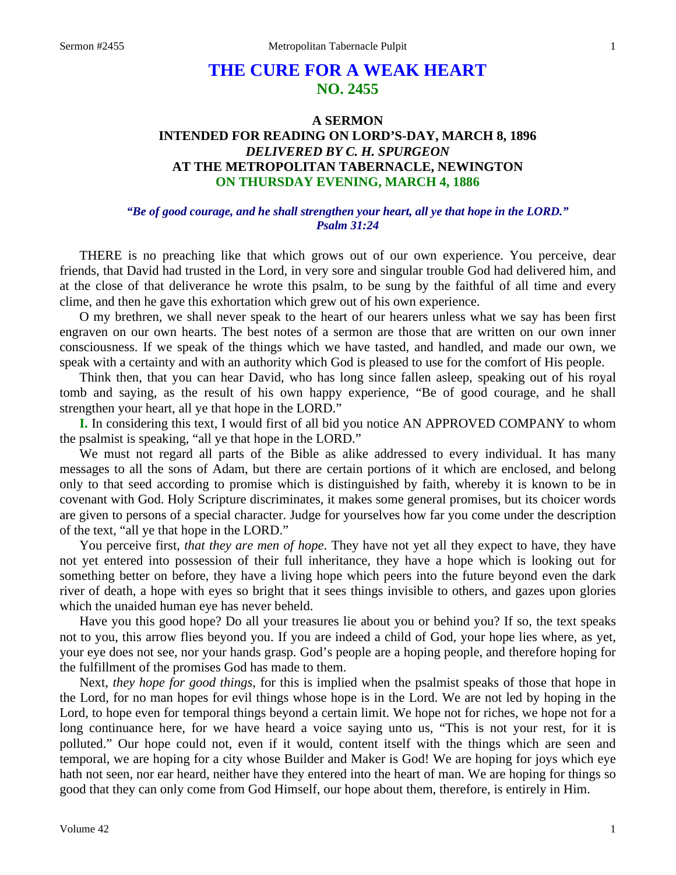# **THE CURE FOR A WEAK HEART NO. 2455**

# **A SERMON INTENDED FOR READING ON LORD'S-DAY, MARCH 8, 1896**  *DELIVERED BY C. H. SPURGEON*  **AT THE METROPOLITAN TABERNACLE, NEWINGTON ON THURSDAY EVENING, MARCH 4, 1886**

### *"Be of good courage, and he shall strengthen your heart, all ye that hope in the LORD." Psalm 31:24*

THERE is no preaching like that which grows out of our own experience. You perceive, dear friends, that David had trusted in the Lord, in very sore and singular trouble God had delivered him, and at the close of that deliverance he wrote this psalm, to be sung by the faithful of all time and every clime, and then he gave this exhortation which grew out of his own experience.

O my brethren, we shall never speak to the heart of our hearers unless what we say has been first engraven on our own hearts. The best notes of a sermon are those that are written on our own inner consciousness. If we speak of the things which we have tasted, and handled, and made our own, we speak with a certainty and with an authority which God is pleased to use for the comfort of His people.

Think then, that you can hear David, who has long since fallen asleep, speaking out of his royal tomb and saying, as the result of his own happy experience, "Be of good courage, and he shall strengthen your heart, all ye that hope in the LORD."

**I.** In considering this text, I would first of all bid you notice AN APPROVED COMPANY to whom the psalmist is speaking, "all ye that hope in the LORD."

We must not regard all parts of the Bible as alike addressed to every individual. It has many messages to all the sons of Adam, but there are certain portions of it which are enclosed, and belong only to that seed according to promise which is distinguished by faith, whereby it is known to be in covenant with God. Holy Scripture discriminates, it makes some general promises, but its choicer words are given to persons of a special character. Judge for yourselves how far you come under the description of the text, "all ye that hope in the LORD."

You perceive first, *that they are men of hope*. They have not yet all they expect to have, they have not yet entered into possession of their full inheritance, they have a hope which is looking out for something better on before, they have a living hope which peers into the future beyond even the dark river of death, a hope with eyes so bright that it sees things invisible to others, and gazes upon glories which the unaided human eye has never beheld.

Have you this good hope? Do all your treasures lie about you or behind you? If so, the text speaks not to you, this arrow flies beyond you. If you are indeed a child of God, your hope lies where, as yet, your eye does not see, nor your hands grasp. God's people are a hoping people, and therefore hoping for the fulfillment of the promises God has made to them.

Next, *they hope for good things,* for this is implied when the psalmist speaks of those that hope in the Lord, for no man hopes for evil things whose hope is in the Lord. We are not led by hoping in the Lord, to hope even for temporal things beyond a certain limit. We hope not for riches, we hope not for a long continuance here, for we have heard a voice saying unto us, "This is not your rest, for it is polluted." Our hope could not, even if it would, content itself with the things which are seen and temporal, we are hoping for a city whose Builder and Maker is God! We are hoping for joys which eye hath not seen, nor ear heard, neither have they entered into the heart of man. We are hoping for things so good that they can only come from God Himself, our hope about them, therefore, is entirely in Him.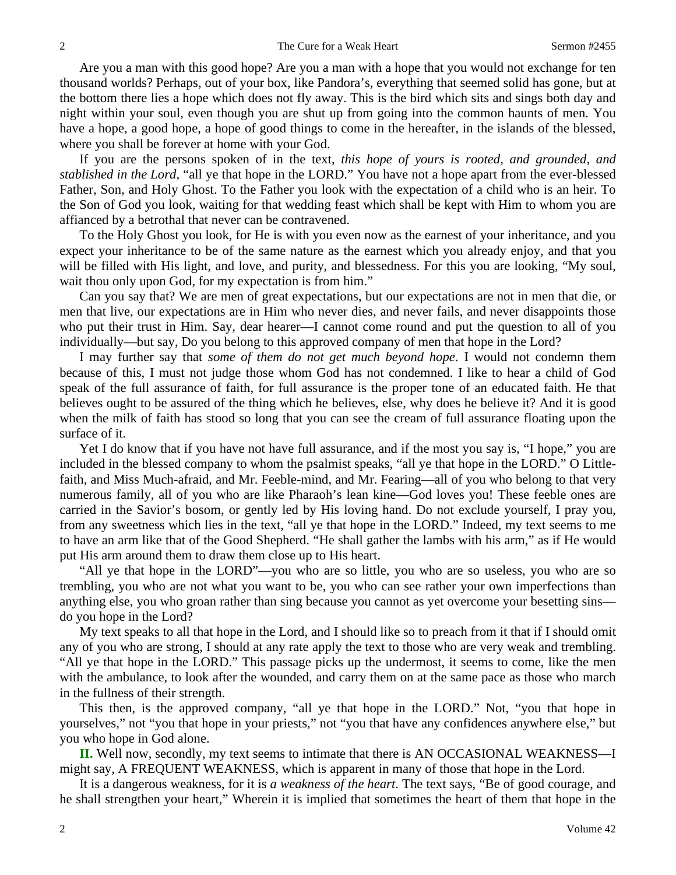Are you a man with this good hope? Are you a man with a hope that you would not exchange for ten thousand worlds? Perhaps, out of your box, like Pandora's, everything that seemed solid has gone, but at the bottom there lies a hope which does not fly away. This is the bird which sits and sings both day and night within your soul, even though you are shut up from going into the common haunts of men. You have a hope, a good hope, a hope of good things to come in the hereafter, in the islands of the blessed, where you shall be forever at home with your God.

If you are the persons spoken of in the text, *this hope of yours is rooted, and grounded, and stablished in the Lord,* "all ye that hope in the LORD." You have not a hope apart from the ever-blessed Father, Son, and Holy Ghost. To the Father you look with the expectation of a child who is an heir. To the Son of God you look, waiting for that wedding feast which shall be kept with Him to whom you are affianced by a betrothal that never can be contravened.

To the Holy Ghost you look, for He is with you even now as the earnest of your inheritance, and you expect your inheritance to be of the same nature as the earnest which you already enjoy, and that you will be filled with His light, and love, and purity, and blessedness. For this you are looking, "My soul, wait thou only upon God, for my expectation is from him."

Can you say that? We are men of great expectations, but our expectations are not in men that die, or men that live, our expectations are in Him who never dies, and never fails, and never disappoints those who put their trust in Him. Say, dear hearer—I cannot come round and put the question to all of you individually—but say, Do you belong to this approved company of men that hope in the Lord?

I may further say that *some of them do not get much beyond hope*. I would not condemn them because of this, I must not judge those whom God has not condemned. I like to hear a child of God speak of the full assurance of faith, for full assurance is the proper tone of an educated faith. He that believes ought to be assured of the thing which he believes, else, why does he believe it? And it is good when the milk of faith has stood so long that you can see the cream of full assurance floating upon the surface of it.

Yet I do know that if you have not have full assurance, and if the most you say is, "I hope," you are included in the blessed company to whom the psalmist speaks, "all ye that hope in the LORD." O Littlefaith, and Miss Much-afraid, and Mr. Feeble-mind, and Mr. Fearing—all of you who belong to that very numerous family, all of you who are like Pharaoh's lean kine—God loves you! These feeble ones are carried in the Savior's bosom, or gently led by His loving hand. Do not exclude yourself, I pray you, from any sweetness which lies in the text, "all ye that hope in the LORD." Indeed, my text seems to me to have an arm like that of the Good Shepherd. "He shall gather the lambs with his arm," as if He would put His arm around them to draw them close up to His heart.

"All ye that hope in the LORD"—you who are so little, you who are so useless, you who are so trembling, you who are not what you want to be, you who can see rather your own imperfections than anything else, you who groan rather than sing because you cannot as yet overcome your besetting sins do you hope in the Lord?

My text speaks to all that hope in the Lord, and I should like so to preach from it that if I should omit any of you who are strong, I should at any rate apply the text to those who are very weak and trembling. "All ye that hope in the LORD." This passage picks up the undermost, it seems to come, like the men with the ambulance, to look after the wounded, and carry them on at the same pace as those who march in the fullness of their strength.

This then, is the approved company, "all ye that hope in the LORD." Not, "you that hope in yourselves," not "you that hope in your priests," not "you that have any confidences anywhere else," but you who hope in God alone.

**II.** Well now, secondly, my text seems to intimate that there is AN OCCASIONAL WEAKNESS—I might say, A FREQUENT WEAKNESS, which is apparent in many of those that hope in the Lord.

It is a dangerous weakness, for it is *a weakness of the heart*. The text says, "Be of good courage, and he shall strengthen your heart," Wherein it is implied that sometimes the heart of them that hope in the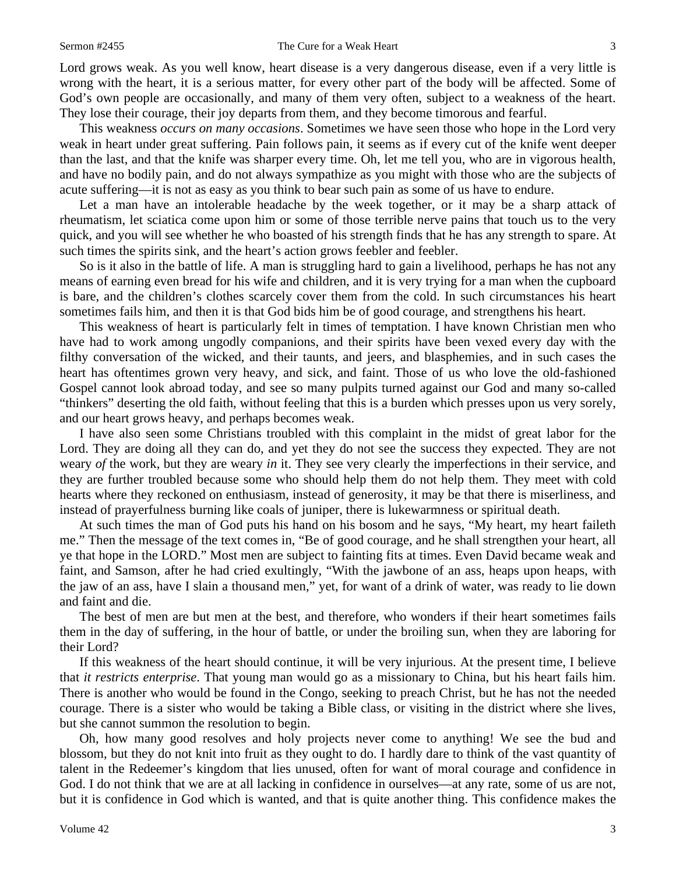#### Sermon #2455 The Cure for a Weak Heart 3

Lord grows weak. As you well know, heart disease is a very dangerous disease, even if a very little is wrong with the heart, it is a serious matter, for every other part of the body will be affected. Some of God's own people are occasionally, and many of them very often, subject to a weakness of the heart. They lose their courage, their joy departs from them, and they become timorous and fearful.

This weakness *occurs on many occasions*. Sometimes we have seen those who hope in the Lord very weak in heart under great suffering. Pain follows pain, it seems as if every cut of the knife went deeper than the last, and that the knife was sharper every time. Oh, let me tell you, who are in vigorous health, and have no bodily pain, and do not always sympathize as you might with those who are the subjects of acute suffering—it is not as easy as you think to bear such pain as some of us have to endure.

Let a man have an intolerable headache by the week together, or it may be a sharp attack of rheumatism, let sciatica come upon him or some of those terrible nerve pains that touch us to the very quick, and you will see whether he who boasted of his strength finds that he has any strength to spare. At such times the spirits sink, and the heart's action grows feebler and feebler.

So is it also in the battle of life. A man is struggling hard to gain a livelihood, perhaps he has not any means of earning even bread for his wife and children, and it is very trying for a man when the cupboard is bare, and the children's clothes scarcely cover them from the cold. In such circumstances his heart sometimes fails him, and then it is that God bids him be of good courage, and strengthens his heart.

This weakness of heart is particularly felt in times of temptation. I have known Christian men who have had to work among ungodly companions, and their spirits have been vexed every day with the filthy conversation of the wicked, and their taunts, and jeers, and blasphemies, and in such cases the heart has oftentimes grown very heavy, and sick, and faint. Those of us who love the old-fashioned Gospel cannot look abroad today, and see so many pulpits turned against our God and many so-called "thinkers" deserting the old faith, without feeling that this is a burden which presses upon us very sorely, and our heart grows heavy, and perhaps becomes weak.

I have also seen some Christians troubled with this complaint in the midst of great labor for the Lord. They are doing all they can do, and yet they do not see the success they expected. They are not weary *of* the work, but they are weary *in* it. They see very clearly the imperfections in their service, and they are further troubled because some who should help them do not help them. They meet with cold hearts where they reckoned on enthusiasm, instead of generosity, it may be that there is miserliness, and instead of prayerfulness burning like coals of juniper, there is lukewarmness or spiritual death.

At such times the man of God puts his hand on his bosom and he says, "My heart, my heart faileth me." Then the message of the text comes in, "Be of good courage, and he shall strengthen your heart, all ye that hope in the LORD." Most men are subject to fainting fits at times. Even David became weak and faint, and Samson, after he had cried exultingly, "With the jawbone of an ass, heaps upon heaps, with the jaw of an ass, have I slain a thousand men," yet, for want of a drink of water, was ready to lie down and faint and die.

The best of men are but men at the best, and therefore, who wonders if their heart sometimes fails them in the day of suffering, in the hour of battle, or under the broiling sun, when they are laboring for their Lord?

If this weakness of the heart should continue, it will be very injurious. At the present time, I believe that *it restricts enterprise*. That young man would go as a missionary to China, but his heart fails him. There is another who would be found in the Congo, seeking to preach Christ, but he has not the needed courage. There is a sister who would be taking a Bible class, or visiting in the district where she lives, but she cannot summon the resolution to begin.

Oh, how many good resolves and holy projects never come to anything! We see the bud and blossom, but they do not knit into fruit as they ought to do. I hardly dare to think of the vast quantity of talent in the Redeemer's kingdom that lies unused, often for want of moral courage and confidence in God. I do not think that we are at all lacking in confidence in ourselves—at any rate, some of us are not, but it is confidence in God which is wanted, and that is quite another thing. This confidence makes the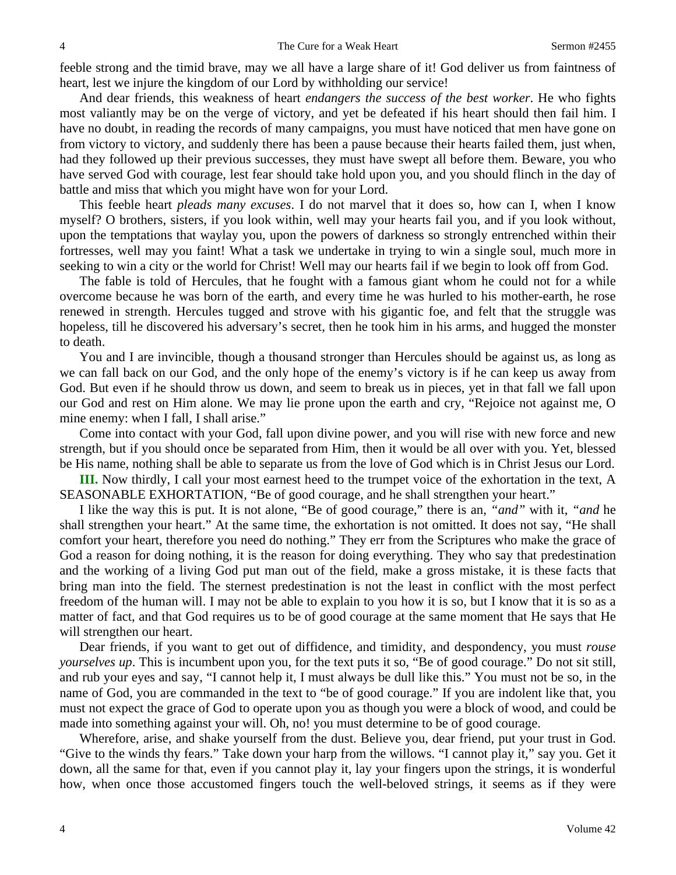feeble strong and the timid brave, may we all have a large share of it! God deliver us from faintness of heart, lest we injure the kingdom of our Lord by withholding our service!

And dear friends, this weakness of heart *endangers the success of the best worker*. He who fights most valiantly may be on the verge of victory, and yet be defeated if his heart should then fail him. I have no doubt, in reading the records of many campaigns, you must have noticed that men have gone on from victory to victory, and suddenly there has been a pause because their hearts failed them, just when, had they followed up their previous successes, they must have swept all before them. Beware, you who have served God with courage, lest fear should take hold upon you, and you should flinch in the day of battle and miss that which you might have won for your Lord.

This feeble heart *pleads many excuses*. I do not marvel that it does so, how can I, when I know myself? O brothers, sisters, if you look within, well may your hearts fail you, and if you look without, upon the temptations that waylay you, upon the powers of darkness so strongly entrenched within their fortresses, well may you faint! What a task we undertake in trying to win a single soul, much more in seeking to win a city or the world for Christ! Well may our hearts fail if we begin to look off from God.

The fable is told of Hercules, that he fought with a famous giant whom he could not for a while overcome because he was born of the earth, and every time he was hurled to his mother-earth, he rose renewed in strength. Hercules tugged and strove with his gigantic foe, and felt that the struggle was hopeless, till he discovered his adversary's secret, then he took him in his arms, and hugged the monster to death.

You and I are invincible, though a thousand stronger than Hercules should be against us, as long as we can fall back on our God, and the only hope of the enemy's victory is if he can keep us away from God. But even if he should throw us down, and seem to break us in pieces, yet in that fall we fall upon our God and rest on Him alone. We may lie prone upon the earth and cry, "Rejoice not against me, O mine enemy: when I fall, I shall arise."

Come into contact with your God, fall upon divine power, and you will rise with new force and new strength, but if you should once be separated from Him, then it would be all over with you. Yet, blessed be His name, nothing shall be able to separate us from the love of God which is in Christ Jesus our Lord.

**III.** Now thirdly, I call your most earnest heed to the trumpet voice of the exhortation in the text, A SEASONABLE EXHORTATION, "Be of good courage, and he shall strengthen your heart."

I like the way this is put. It is not alone, "Be of good courage," there is an, *"and"* with it, *"and* he shall strengthen your heart." At the same time, the exhortation is not omitted. It does not say, "He shall comfort your heart, therefore you need do nothing." They err from the Scriptures who make the grace of God a reason for doing nothing, it is the reason for doing everything. They who say that predestination and the working of a living God put man out of the field, make a gross mistake, it is these facts that bring man into the field. The sternest predestination is not the least in conflict with the most perfect freedom of the human will. I may not be able to explain to you how it is so, but I know that it is so as a matter of fact, and that God requires us to be of good courage at the same moment that He says that He will strengthen our heart.

Dear friends, if you want to get out of diffidence, and timidity, and despondency, you must *rouse yourselves up*. This is incumbent upon you, for the text puts it so, "Be of good courage." Do not sit still, and rub your eyes and say, "I cannot help it, I must always be dull like this." You must not be so, in the name of God, you are commanded in the text to "be of good courage." If you are indolent like that, you must not expect the grace of God to operate upon you as though you were a block of wood, and could be made into something against your will. Oh, no! you must determine to be of good courage.

Wherefore, arise, and shake yourself from the dust. Believe you, dear friend, put your trust in God. "Give to the winds thy fears." Take down your harp from the willows. "I cannot play it," say you. Get it down, all the same for that, even if you cannot play it, lay your fingers upon the strings, it is wonderful how, when once those accustomed fingers touch the well-beloved strings, it seems as if they were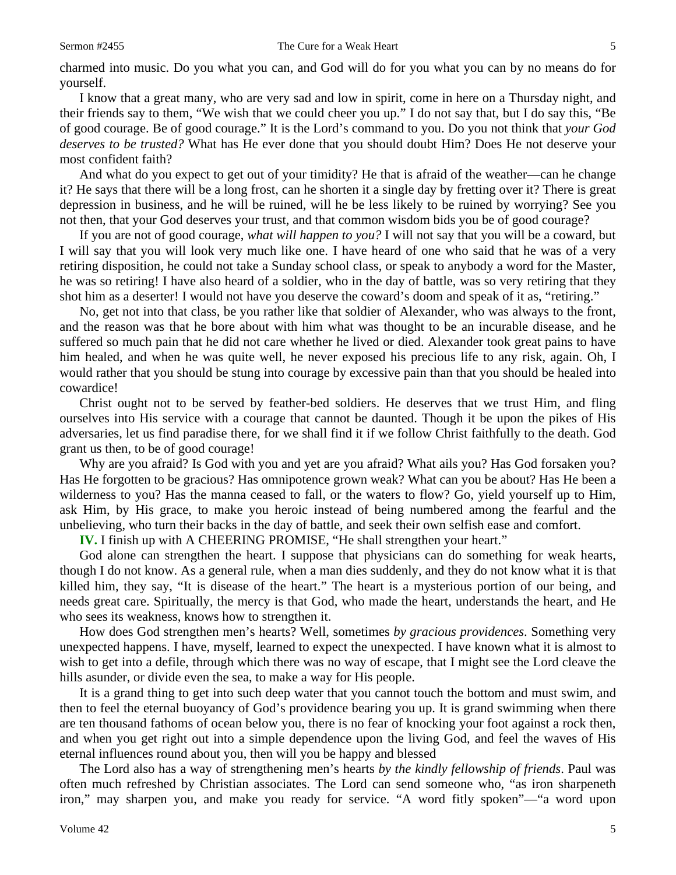charmed into music. Do you what you can, and God will do for you what you can by no means do for yourself.

I know that a great many, who are very sad and low in spirit, come in here on a Thursday night, and their friends say to them, "We wish that we could cheer you up." I do not say that, but I do say this, "Be of good courage. Be of good courage." It is the Lord's command to you. Do you not think that *your God deserves to be trusted?* What has He ever done that you should doubt Him? Does He not deserve your most confident faith?

And what do you expect to get out of your timidity? He that is afraid of the weather—can he change it? He says that there will be a long frost, can he shorten it a single day by fretting over it? There is great depression in business, and he will be ruined, will he be less likely to be ruined by worrying? See you not then, that your God deserves your trust, and that common wisdom bids you be of good courage?

If you are not of good courage, *what will happen to you?* I will not say that you will be a coward, but I will say that you will look very much like one. I have heard of one who said that he was of a very retiring disposition, he could not take a Sunday school class, or speak to anybody a word for the Master, he was so retiring! I have also heard of a soldier, who in the day of battle, was so very retiring that they shot him as a deserter! I would not have you deserve the coward's doom and speak of it as, "retiring."

No, get not into that class, be you rather like that soldier of Alexander, who was always to the front, and the reason was that he bore about with him what was thought to be an incurable disease, and he suffered so much pain that he did not care whether he lived or died. Alexander took great pains to have him healed, and when he was quite well, he never exposed his precious life to any risk, again. Oh, I would rather that you should be stung into courage by excessive pain than that you should be healed into cowardice!

Christ ought not to be served by feather-bed soldiers. He deserves that we trust Him, and fling ourselves into His service with a courage that cannot be daunted. Though it be upon the pikes of His adversaries, let us find paradise there, for we shall find it if we follow Christ faithfully to the death. God grant us then, to be of good courage!

Why are you afraid? Is God with you and yet are you afraid? What ails you? Has God forsaken you? Has He forgotten to be gracious? Has omnipotence grown weak? What can you be about? Has He been a wilderness to you? Has the manna ceased to fall, or the waters to flow? Go, yield yourself up to Him, ask Him, by His grace, to make you heroic instead of being numbered among the fearful and the unbelieving, who turn their backs in the day of battle, and seek their own selfish ease and comfort.

**IV.** I finish up with A CHEERING PROMISE, "He shall strengthen your heart."

God alone can strengthen the heart. I suppose that physicians can do something for weak hearts, though I do not know. As a general rule, when a man dies suddenly, and they do not know what it is that killed him, they say, "It is disease of the heart." The heart is a mysterious portion of our being, and needs great care. Spiritually, the mercy is that God, who made the heart, understands the heart, and He who sees its weakness, knows how to strengthen it.

How does God strengthen men's hearts? Well, sometimes *by gracious providences*. Something very unexpected happens. I have, myself, learned to expect the unexpected. I have known what it is almost to wish to get into a defile, through which there was no way of escape, that I might see the Lord cleave the hills asunder, or divide even the sea, to make a way for His people.

It is a grand thing to get into such deep water that you cannot touch the bottom and must swim, and then to feel the eternal buoyancy of God's providence bearing you up. It is grand swimming when there are ten thousand fathoms of ocean below you, there is no fear of knocking your foot against a rock then, and when you get right out into a simple dependence upon the living God, and feel the waves of His eternal influences round about you, then will you be happy and blessed

The Lord also has a way of strengthening men's hearts *by the kindly fellowship of friends*. Paul was often much refreshed by Christian associates. The Lord can send someone who, "as iron sharpeneth iron," may sharpen you, and make you ready for service. "A word fitly spoken"—"a word upon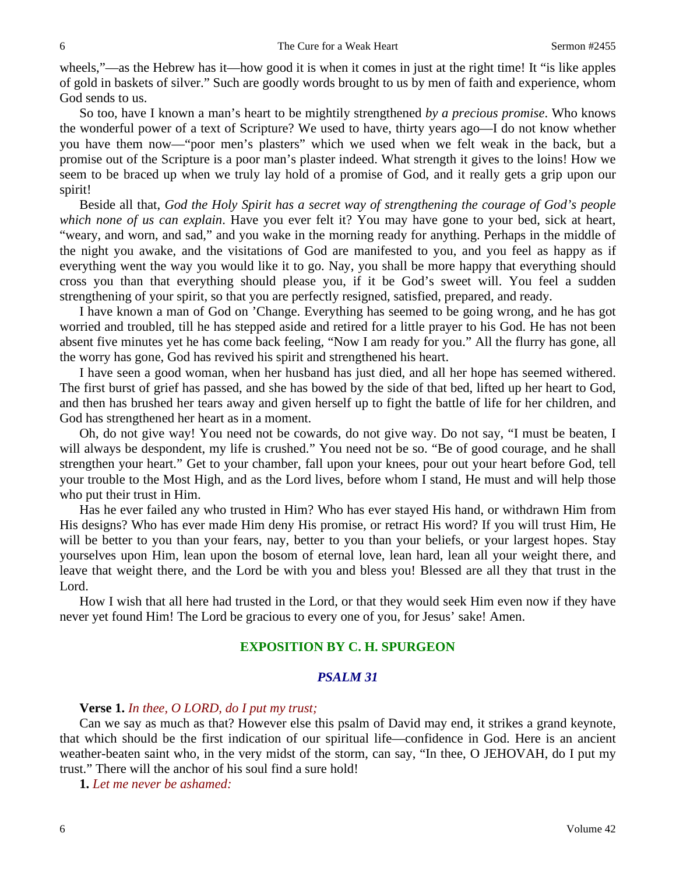wheels,"—as the Hebrew has it—how good it is when it comes in just at the right time! It "is like apples" of gold in baskets of silver." Such are goodly words brought to us by men of faith and experience, whom God sends to us.

So too, have I known a man's heart to be mightily strengthened *by a precious promise*. Who knows the wonderful power of a text of Scripture? We used to have, thirty years ago—I do not know whether you have them now—"poor men's plasters" which we used when we felt weak in the back, but a promise out of the Scripture is a poor man's plaster indeed. What strength it gives to the loins! How we seem to be braced up when we truly lay hold of a promise of God, and it really gets a grip upon our spirit!

Beside all that, *God the Holy Spirit has a secret way of strengthening the courage of God's people which none of us can explain*. Have you ever felt it? You may have gone to your bed, sick at heart, "weary, and worn, and sad," and you wake in the morning ready for anything. Perhaps in the middle of the night you awake, and the visitations of God are manifested to you, and you feel as happy as if everything went the way you would like it to go. Nay, you shall be more happy that everything should cross you than that everything should please you, if it be God's sweet will. You feel a sudden strengthening of your spirit, so that you are perfectly resigned, satisfied, prepared, and ready.

I have known a man of God on 'Change. Everything has seemed to be going wrong, and he has got worried and troubled, till he has stepped aside and retired for a little prayer to his God. He has not been absent five minutes yet he has come back feeling, "Now I am ready for you." All the flurry has gone, all the worry has gone, God has revived his spirit and strengthened his heart.

I have seen a good woman, when her husband has just died, and all her hope has seemed withered. The first burst of grief has passed, and she has bowed by the side of that bed, lifted up her heart to God, and then has brushed her tears away and given herself up to fight the battle of life for her children, and God has strengthened her heart as in a moment.

Oh, do not give way! You need not be cowards, do not give way. Do not say, "I must be beaten, I will always be despondent, my life is crushed." You need not be so. "Be of good courage, and he shall strengthen your heart." Get to your chamber, fall upon your knees, pour out your heart before God, tell your trouble to the Most High, and as the Lord lives, before whom I stand, He must and will help those who put their trust in Him.

Has he ever failed any who trusted in Him? Who has ever stayed His hand, or withdrawn Him from His designs? Who has ever made Him deny His promise, or retract His word? If you will trust Him, He will be better to you than your fears, nay, better to you than your beliefs, or your largest hopes. Stay yourselves upon Him, lean upon the bosom of eternal love, lean hard, lean all your weight there, and leave that weight there, and the Lord be with you and bless you! Blessed are all they that trust in the Lord.

How I wish that all here had trusted in the Lord, or that they would seek Him even now if they have never yet found Him! The Lord be gracious to every one of you, for Jesus' sake! Amen.

# **EXPOSITION BY C. H. SPURGEON**

# *PSALM 31*

### **Verse 1.** *In thee, O LORD, do I put my trust;*

Can we say as much as that? However else this psalm of David may end, it strikes a grand keynote, that which should be the first indication of our spiritual life—confidence in God. Here is an ancient weather-beaten saint who, in the very midst of the storm, can say, "In thee, O JEHOVAH, do I put my trust." There will the anchor of his soul find a sure hold!

**1.** *Let me never be ashamed:*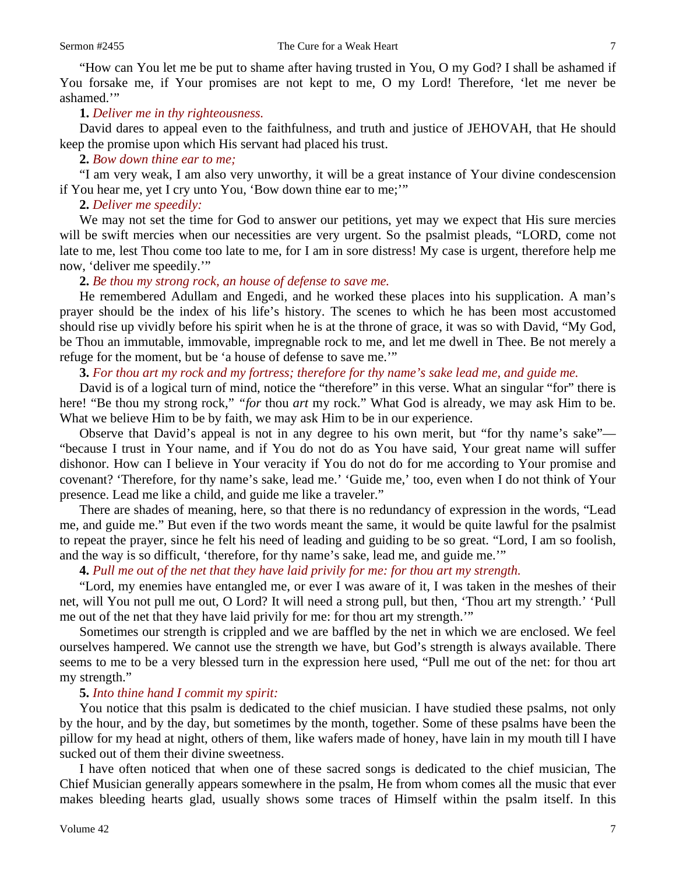"How can You let me be put to shame after having trusted in You, O my God? I shall be ashamed if You forsake me, if Your promises are not kept to me, O my Lord! Therefore, 'let me never be ashamed.'"

#### **1.** *Deliver me in thy righteousness.*

David dares to appeal even to the faithfulness, and truth and justice of JEHOVAH, that He should keep the promise upon which His servant had placed his trust.

# **2.** *Bow down thine ear to me;*

"I am very weak, I am also very unworthy, it will be a great instance of Your divine condescension if You hear me, yet I cry unto You, 'Bow down thine ear to me;'"

#### **2.** *Deliver me speedily:*

We may not set the time for God to answer our petitions, yet may we expect that His sure mercies will be swift mercies when our necessities are very urgent. So the psalmist pleads, "LORD, come not late to me, lest Thou come too late to me, for I am in sore distress! My case is urgent, therefore help me now, 'deliver me speedily.'"

# **2.** *Be thou my strong rock, an house of defense to save me.*

He remembered Adullam and Engedi, and he worked these places into his supplication. A man's prayer should be the index of his life's history. The scenes to which he has been most accustomed should rise up vividly before his spirit when he is at the throne of grace, it was so with David, "My God, be Thou an immutable, immovable, impregnable rock to me, and let me dwell in Thee. Be not merely a refuge for the moment, but be 'a house of defense to save me.'"

# **3.** *For thou art my rock and my fortress; therefore for thy name's sake lead me, and guide me.*

David is of a logical turn of mind, notice the "therefore" in this verse. What an singular "for" there is here! "Be thou my strong rock," *"for* thou *art* my rock." What God is already, we may ask Him to be. What we believe Him to be by faith, we may ask Him to be in our experience.

Observe that David's appeal is not in any degree to his own merit, but "for thy name's sake"— "because I trust in Your name, and if You do not do as You have said, Your great name will suffer dishonor. How can I believe in Your veracity if You do not do for me according to Your promise and covenant? 'Therefore, for thy name's sake, lead me.' 'Guide me,' too, even when I do not think of Your presence. Lead me like a child, and guide me like a traveler."

There are shades of meaning, here, so that there is no redundancy of expression in the words, "Lead me, and guide me." But even if the two words meant the same, it would be quite lawful for the psalmist to repeat the prayer, since he felt his need of leading and guiding to be so great. "Lord, I am so foolish, and the way is so difficult, 'therefore, for thy name's sake, lead me, and guide me.'"

# **4.** *Pull me out of the net that they have laid privily for me: for thou art my strength.*

"Lord, my enemies have entangled me, or ever I was aware of it, I was taken in the meshes of their net, will You not pull me out, O Lord? It will need a strong pull, but then, 'Thou art my strength.' 'Pull me out of the net that they have laid privily for me: for thou art my strength.'"

Sometimes our strength is crippled and we are baffled by the net in which we are enclosed. We feel ourselves hampered. We cannot use the strength we have, but God's strength is always available. There seems to me to be a very blessed turn in the expression here used, "Pull me out of the net: for thou art my strength."

# **5.** *Into thine hand I commit my spirit:*

You notice that this psalm is dedicated to the chief musician. I have studied these psalms, not only by the hour, and by the day, but sometimes by the month, together. Some of these psalms have been the pillow for my head at night, others of them, like wafers made of honey, have lain in my mouth till I have sucked out of them their divine sweetness.

I have often noticed that when one of these sacred songs is dedicated to the chief musician, The Chief Musician generally appears somewhere in the psalm, He from whom comes all the music that ever makes bleeding hearts glad, usually shows some traces of Himself within the psalm itself. In this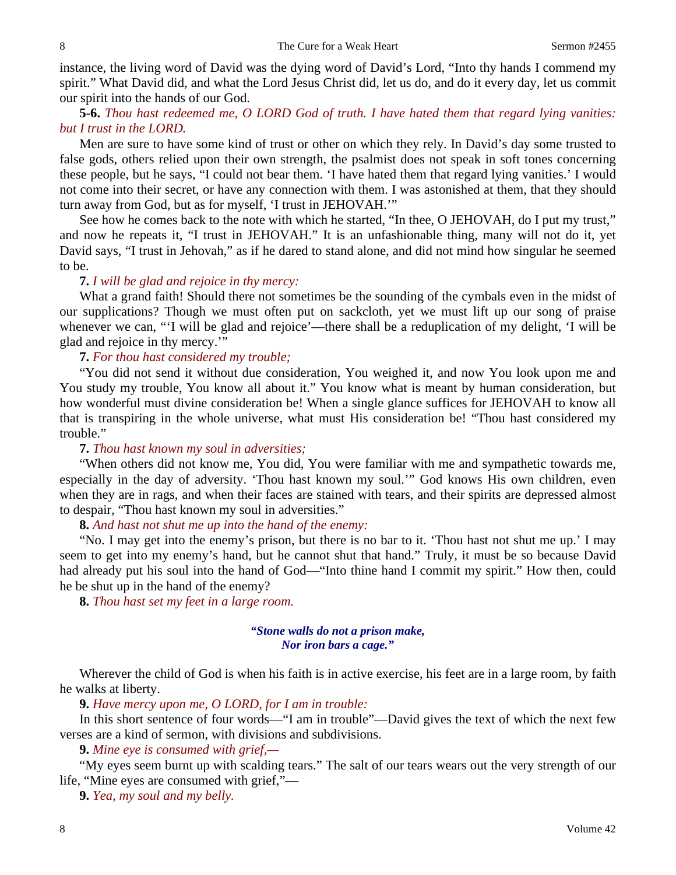instance, the living word of David was the dying word of David's Lord, "Into thy hands I commend my spirit." What David did, and what the Lord Jesus Christ did, let us do, and do it every day, let us commit our spirit into the hands of our God.

**5-6.** *Thou hast redeemed me, O LORD God of truth. I have hated them that regard lying vanities: but I trust in the LORD.* 

Men are sure to have some kind of trust or other on which they rely. In David's day some trusted to false gods, others relied upon their own strength, the psalmist does not speak in soft tones concerning these people, but he says, "I could not bear them. 'I have hated them that regard lying vanities.' I would not come into their secret, or have any connection with them. I was astonished at them, that they should turn away from God, but as for myself, 'I trust in JEHOVAH.'"

See how he comes back to the note with which he started, "In thee, O JEHOVAH, do I put my trust," and now he repeats it, "I trust in JEHOVAH." It is an unfashionable thing, many will not do it, yet David says, "I trust in Jehovah," as if he dared to stand alone, and did not mind how singular he seemed to be.

# **7.** *I will be glad and rejoice in thy mercy:*

What a grand faith! Should there not sometimes be the sounding of the cymbals even in the midst of our supplications? Though we must often put on sackcloth, yet we must lift up our song of praise whenever we can, "'I will be glad and rejoice'—there shall be a reduplication of my delight, 'I will be glad and rejoice in thy mercy.'"

#### **7.** *For thou hast considered my trouble;*

"You did not send it without due consideration, You weighed it, and now You look upon me and You study my trouble, You know all about it." You know what is meant by human consideration, but how wonderful must divine consideration be! When a single glance suffices for JEHOVAH to know all that is transpiring in the whole universe, what must His consideration be! "Thou hast considered my trouble."

# **7.** *Thou hast known my soul in adversities;*

"When others did not know me, You did, You were familiar with me and sympathetic towards me, especially in the day of adversity. 'Thou hast known my soul.'" God knows His own children, even when they are in rags, and when their faces are stained with tears, and their spirits are depressed almost to despair, "Thou hast known my soul in adversities."

# **8.** *And hast not shut me up into the hand of the enemy:*

"No. I may get into the enemy's prison, but there is no bar to it. 'Thou hast not shut me up.' I may seem to get into my enemy's hand, but he cannot shut that hand." Truly, it must be so because David had already put his soul into the hand of God—"Into thine hand I commit my spirit." How then, could he be shut up in the hand of the enemy?

**8.** *Thou hast set my feet in a large room.* 

# *"Stone walls do not a prison make, Nor iron bars a cage."*

Wherever the child of God is when his faith is in active exercise, his feet are in a large room, by faith he walks at liberty.

**9.** *Have mercy upon me, O LORD, for I am in trouble:* 

In this short sentence of four words—"I am in trouble"—David gives the text of which the next few verses are a kind of sermon, with divisions and subdivisions.

**9.** *Mine eye is consumed with grief,—* 

"My eyes seem burnt up with scalding tears." The salt of our tears wears out the very strength of our life, "Mine eyes are consumed with grief,"—

**9.** *Yea, my soul and my belly.*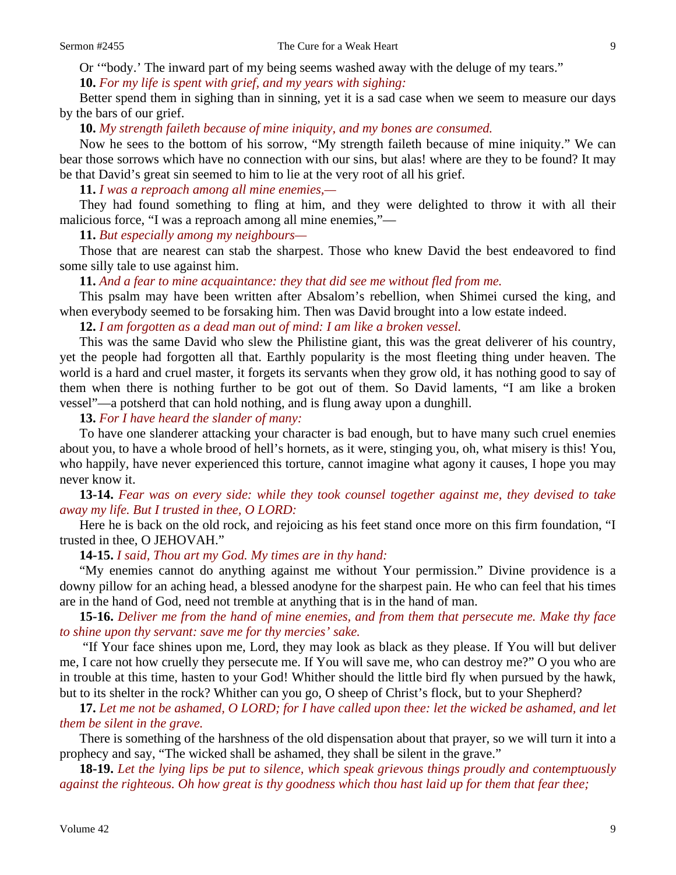**10.** *For my life is spent with grief, and my years with sighing:* 

Better spend them in sighing than in sinning, yet it is a sad case when we seem to measure our days by the bars of our grief.

**10.** *My strength faileth because of mine iniquity, and my bones are consumed.* 

Now he sees to the bottom of his sorrow, "My strength faileth because of mine iniquity." We can bear those sorrows which have no connection with our sins, but alas! where are they to be found? It may be that David's great sin seemed to him to lie at the very root of all his grief.

**11.** *I was a reproach among all mine enemies,—* 

They had found something to fling at him, and they were delighted to throw it with all their malicious force, "I was a reproach among all mine enemies,"—

**11.** *But especially among my neighbours—* 

Those that are nearest can stab the sharpest. Those who knew David the best endeavored to find some silly tale to use against him.

**11.** *And a fear to mine acquaintance: they that did see me without fled from me.* 

This psalm may have been written after Absalom's rebellion, when Shimei cursed the king, and when everybody seemed to be forsaking him. Then was David brought into a low estate indeed.

**12.** *I am forgotten as a dead man out of mind: I am like a broken vessel.* 

This was the same David who slew the Philistine giant, this was the great deliverer of his country, yet the people had forgotten all that. Earthly popularity is the most fleeting thing under heaven. The world is a hard and cruel master, it forgets its servants when they grow old, it has nothing good to say of them when there is nothing further to be got out of them. So David laments, "I am like a broken vessel"—a potsherd that can hold nothing, and is flung away upon a dunghill.

**13.** *For I have heard the slander of many:* 

To have one slanderer attacking your character is bad enough, but to have many such cruel enemies about you, to have a whole brood of hell's hornets, as it were, stinging you, oh, what misery is this! You, who happily, have never experienced this torture, cannot imagine what agony it causes, I hope you may never know it.

**13-14.** *Fear was on every side: while they took counsel together against me, they devised to take away my life. But I trusted in thee, O LORD:* 

Here he is back on the old rock, and rejoicing as his feet stand once more on this firm foundation, "I trusted in thee, O JEHOVAH."

**14-15.** *I said, Thou art my God. My times are in thy hand:* 

"My enemies cannot do anything against me without Your permission." Divine providence is a downy pillow for an aching head, a blessed anodyne for the sharpest pain. He who can feel that his times are in the hand of God, need not tremble at anything that is in the hand of man.

**15-16.** *Deliver me from the hand of mine enemies, and from them that persecute me. Make thy face to shine upon thy servant: save me for thy mercies' sake.* 

"If Your face shines upon me, Lord, they may look as black as they please. If You will but deliver me, I care not how cruelly they persecute me. If You will save me, who can destroy me?" O you who are in trouble at this time, hasten to your God! Whither should the little bird fly when pursued by the hawk, but to its shelter in the rock? Whither can you go, O sheep of Christ's flock, but to your Shepherd?

**17.** *Let me not be ashamed, O LORD; for I have called upon thee: let the wicked be ashamed, and let them be silent in the grave.* 

There is something of the harshness of the old dispensation about that prayer, so we will turn it into a prophecy and say, "The wicked shall be ashamed, they shall be silent in the grave."

**18-19.** *Let the lying lips be put to silence, which speak grievous things proudly and contemptuously against the righteous. Oh how great is thy goodness which thou hast laid up for them that fear thee;*